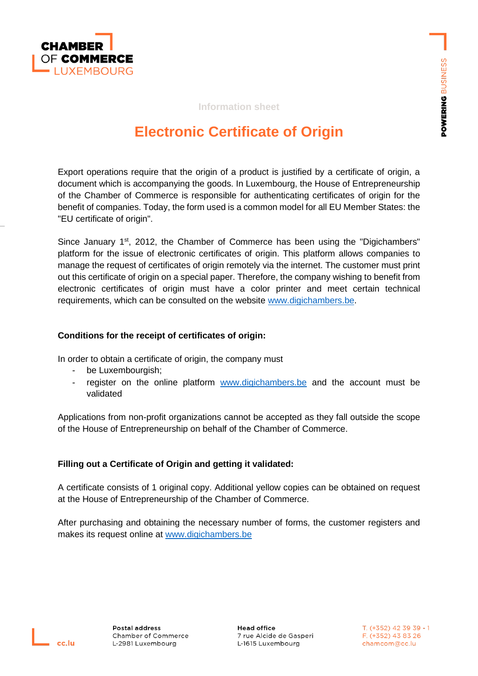

#### **Information sheet**

# **Electronic Certificate of Origin**

Export operations require that the origin of a product is justified by a certificate of origin, a document which is accompanying the goods. In Luxembourg, the House of Entrepreneurship of the Chamber of Commerce is responsible for authenticating certificates of origin for the benefit of companies. Today, the form used is a common model for all EU Member States: the "EU certificate of origin".

Since January 1<sup>st</sup>, 2012, the Chamber of Commerce has been using the "Digichambers" platform for the issue of electronic certificates of origin. This platform allows companies to manage the request of certificates of origin remotely via the internet. The customer must print out this certificate of origin on a special paper. Therefore, the company wishing to benefit from electronic certificates of origin must have a color printer and meet certain technical requirements, which can be consulted on the website [www.digichambers.be.](http://www.digichambers.be/)

#### **Conditions for the receipt of certificates of origin:**

In order to obtain a certificate of origin, the company must

- be Luxembourgish;
- register on the online platform [www.digichambers.be](www.digichambers.be%20) and the account must be validated

Applications from non-profit organizations cannot be accepted as they fall outside the scope of the House of Entrepreneurship on behalf of the Chamber of Commerce.

#### **Filling out a Certificate of Origin and getting it validated:**

A certificate consists of 1 original copy. Additional yellow copies can be obtained on request at the House of Entrepreneurship of the Chamber of Commerce.

After purchasing and obtaining the necessary number of forms, the customer registers and makes its request online at [www.digichambers.be](http://www.digichambers.be/)